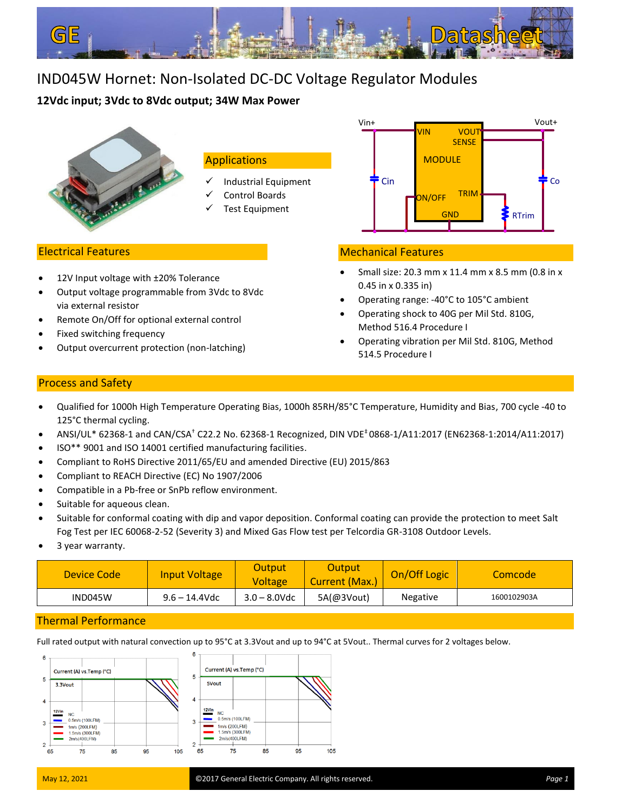

# IND045W Hornet: Non-Isolated DC-DC Voltage Regulator Modules

# **12Vdc input; 3Vdc to 8Vdc output; 34W Max Power**



# **Applications**

- ✓ Industrial Equipment
- Control Boards
- Test Equipment

# Electrical Features

- 12V Input voltage with ±20% Tolerance
- Output voltage programmable from 3Vdc to 8Vdc via external resistor
- Remote On/Off for optional external control
- Fixed switching frequency
- j • Output overcurrent protection (non-latching)



# Mechanical Features

- Small size: 20.3 mm x 11.4 mm x 8.5 mm (0.8 in x 0.45 in x 0.335 in)
- Operating range: -40°C to 105°C ambient
- Operating shock to 40G per Mil Std. 810G, Method 516.4 Procedure I
- Operating vibration per Mil Std. 810G, Method 514.5 Procedure I

# Process and Safety •

- Qualified for 1000h High Temperature Operating Bias, 1000h 85RH/85°C Temperature, Humidity and Bias, 700 cycle -40 to 125°C thermal cycling.
- ANSI/UL\* 62368-1 and CAN/CSA† C22.2 No. 62368-1 Recognized, DIN VDE‡ 0868-1/A11:2017 (EN62368-1:2014/A11:2017)
- ISO\*\* 9001 and ISO 14001 certified manufacturing facilities.
- Compliant to RoHS Directive 2011/65/EU and amended Directive (EU) 2015/863
- Compliant to REACH Directive (EC) No 1907/2006
- Compatible in a Pb-free or SnPb reflow environment.
- Suitable for aqueous clean.
- Suitable for conformal coating with dip and vapor deposition. Conformal coating can provide the protection to meet Salt Fog Test per IEC 60068-2-52 (Severity 3) and Mixed Gas Flow test per Telcordia GR-3108 Outdoor Levels.
- 3 year warranty.

| Device Code | <b>Input Voltage</b> | Output<br>Voltage | Output<br>Current (Max.) | On/Off Logic    | Comcode     |
|-------------|----------------------|-------------------|--------------------------|-----------------|-------------|
| IND045W     | $9.6 - 14.4$ Vdc     | $3.0 - 8.0$ Vdc   | 5A(@3Vout)               | <b>Negative</b> | 1600102903A |

# Thermal Performance

Full rated output with natural convection up to 95°C at 3.3Vout and up to 94°C at 5Vout.. Thermal curves for 2 voltages below.

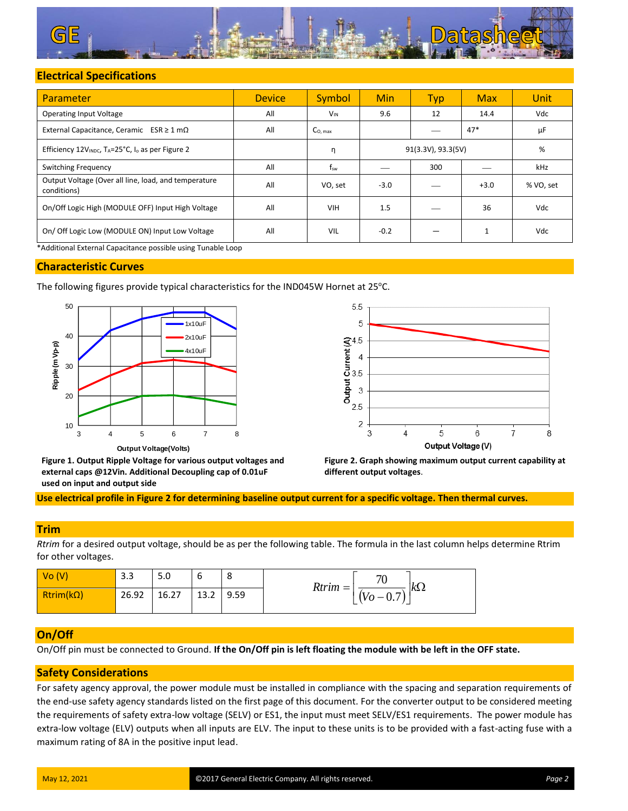

# **Electrical Specifications**

| Parameter                                                                             | <b>Device</b>           | Symbol          | <b>Min</b> | <b>Typ</b> | <b>Max</b> | Unit      |
|---------------------------------------------------------------------------------------|-------------------------|-----------------|------------|------------|------------|-----------|
| <b>Operating Input Voltage</b>                                                        | All                     | $V_{\text{IN}}$ | 9.6        | 12         | 14.4       | Vdc       |
| External Capacitance, Ceramic $ESR \ge 1 \text{ mA}$                                  | All                     | Co. max         |            |            | $47*$      | μF        |
| Efficiency 12V <sub>INDC</sub> , T <sub>A</sub> =25°C, I <sub>o</sub> as per Figure 2 | 91(3.3V), 93.3(5V)<br>η |                 |            | %          |            |           |
| <b>Switching Frequency</b>                                                            | All                     | $f_{sw}$        |            | 300        |            | kHz       |
| Output Voltage (Over all line, load, and temperature<br>conditions)                   | All                     | VO, set         | $-3.0$     |            | $+3.0$     | % VO, set |
| On/Off Logic High (MODULE OFF) Input High Voltage                                     | All                     | <b>VIH</b>      | 1.5        |            | 36         | Vdc       |
| On/ Off Logic Low (MODULE ON) Input Low Voltage                                       | All                     | VIL             | $-0.2$     |            | 1          | Vdc       |
| *Additional External Capacitance possible using Tunable Loop                          |                         |                 |            |            |            |           |

## **Characteristic Curves**

The following figures provide typical characteristics for the IND045W Hornet at 25°C.





**Figure 1. Output Ripple Voltage for various output voltages and external caps @12Vin. Additional Decoupling cap of 0.01uF used on input and output side**



**Use electrical profile in Figure 2 for determining baseline output current for a specific voltage. Then thermal curves.**

## **Trim**

*Rtrim* for a desired output voltage, should be as per the following table. The formula in the last column helps determine Rtrim for other voltages.

| $\sqrt{V}$ $(V)$ | າ າ<br>3.3 | 5.0   | ∽<br>ь | $\circ$<br>٥ | 70<br>$k\Omega$<br>$Rtrim =$        |
|------------------|------------|-------|--------|--------------|-------------------------------------|
| $Rtrim(k\Omega)$ | 26.92      | 16.27 | 13.2   | 9.59         | $\Omega$ $\tau$<br>$(V_O -$<br>◡. ៸ |

## **On/Off**

On/Off pin must be connected to Ground. **If the On/Off pin is left floating the module with be left in the OFF state.**

## **Safety Considerations**

For safety agency approval, the power module must be installed in compliance with the spacing and separation requirements of the end-use safety agency standards listed on the first page of this document. For the converter output to be considered meeting the requirements of safety extra-low voltage (SELV) or ES1, the input must meet SELV/ES1 requirements. The power module has extra-low voltage (ELV) outputs when all inputs are ELV. The input to these units is to be provided with a fast-acting fuse with a maximum rating of 8A in the positive input lead.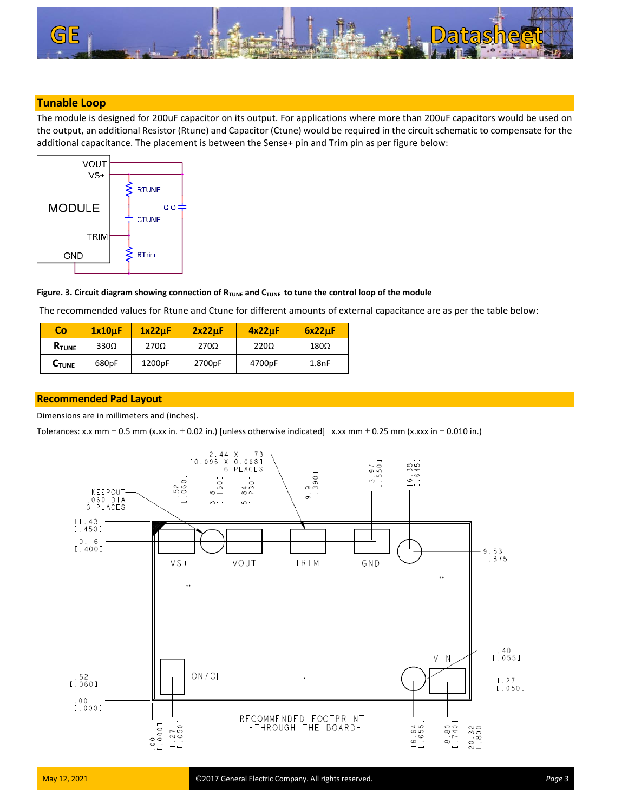

## **Tunable Loop**

The module is designed for 200uF capacitor on its output. For applications where more than 200uF capacitors would be used on the output, an additional Resistor (Rtune) and Capacitor (Ctune) would be required in the circuit schematic to compensate for the additional capacitance. The placement is between the Sense+ pin and Trim pin as per figure below:



## Figure. 3. Circuit diagram showing connection of R<sub>TUNE</sub> and C<sub>TUNE</sub> to tune the control loop of the module

The recommended values for Rtune and Ctune for different amounts of external capacitance are as per the table below:

| Co            | 1x10uF      | 1x22uF      | 2x22uF      | 4x22uF      | 6x22uF      |
|---------------|-------------|-------------|-------------|-------------|-------------|
| <b>R</b> TUNE | $330\Omega$ | $270\Omega$ | $270\Omega$ | $220\Omega$ | $180\Omega$ |
| <b>C</b> TUNE | 680pF       | 1200pF      | 2700pF      | 4700pF      | 1.8nF       |

## **Recommended Pad Layout**

Dimensions are in millimeters and (inches).

Tolerances: x.x mm  $\pm$  0.5 mm (x.xx in.  $\pm$  0.02 in.) [unless otherwise indicated] x.xx mm  $\pm$  0.25 mm (x.xxx in  $\pm$  0.010 in.)